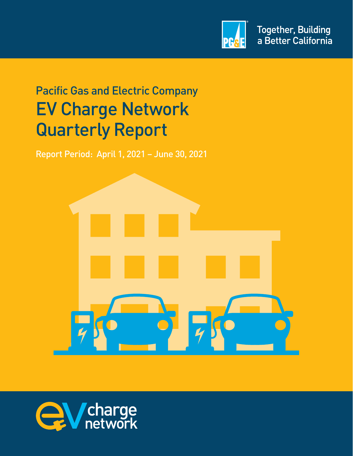

# Pacific Gas and Electric Company EV Charge Network Quarterly Report

Report Period: April 1, 2021 – June 30, 2021



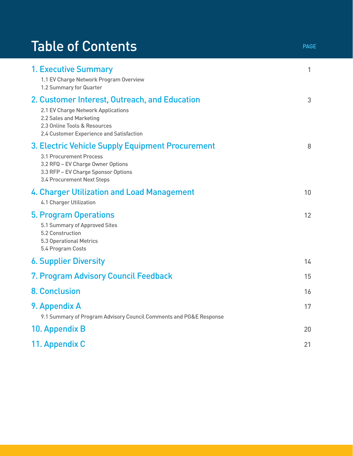# Table of Contents **PAGE**

| <b>1. Executive Summary</b><br>1.1 EV Charge Network Program Overview<br>1.2 Summary for Quarter                                                                                           | $\mathbf{1}$ |
|--------------------------------------------------------------------------------------------------------------------------------------------------------------------------------------------|--------------|
| 2. Customer Interest, Outreach, and Education<br>2.1 EV Charge Network Applications<br>2.2 Sales and Marketing<br>2.3 Online Tools & Resources<br>2.4 Customer Experience and Satisfaction | 3            |
| 3. Electric Vehicle Supply Equipment Procurement<br>3.1 Procurement Process<br>3.2 RFQ - EV Charge Owner Options<br>3.3 RFP - EV Charge Sponsor Options<br>3.4 Procurement Next Steps      | 8            |
| 4. Charger Utilization and Load Management<br><b>4.1 Charger Utilization</b>                                                                                                               | 10           |
| <b>5. Program Operations</b><br>5.1 Summary of Approved Sites<br>5.2 Construction<br><b>5.3 Operational Metrics</b><br>5.4 Program Costs                                                   | 12           |
| <b>6. Supplier Diversity</b>                                                                                                                                                               | 14           |
| 7. Program Advisory Council Feedback                                                                                                                                                       | 15           |
| <b>8. Conclusion</b>                                                                                                                                                                       | 16           |
| 9. Appendix A<br>9.1 Summary of Program Advisory Council Comments and PG&E Response                                                                                                        | 17           |
| 10. Appendix B                                                                                                                                                                             | 20           |
| 11. Appendix C                                                                                                                                                                             | 21           |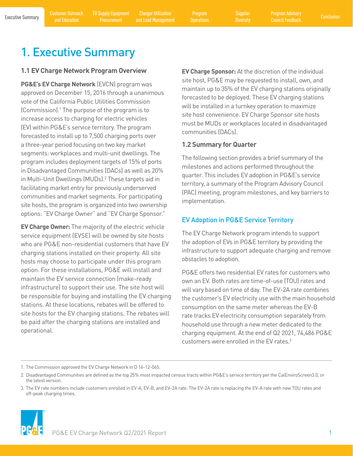<span id="page-2-0"></span>

Program

**Diversity** 

# 1. Executive Summary

### **1.1 EV Charge Network Program Overview**

**PG&E's EV Charge Network** (EVCN) program was approved on December 15, 2016 through a unanimous vote of the California Public Utilities Commission (Commission).1 The purpose of the program is to increase access to charging for electric vehicles (EV) within PG&E's service territory. The program forecasted to install up to 7,500 charging ports over a three-year period focusing on two key market segments: workplaces and multi-unit dwellings. The program includes deployment targets of 15% of ports in Disadvantaged Communities (DACs) as well as 20% in Multi-Unit Dwellings (MUDs).<sup>2</sup> These targets aid in facilitating market entry for previously underserved communities and market segments. For participating site hosts, the program is organized into two ownership options: "EV Charge Owner" and "EV Charge Sponsor." **1.1 EV Charge Network Program Overview**<br> **EV Charge Sponsor,** At the discretion of the individual<br> **EV Charge Sponsor and the interaction of the interaction of the interaction of the interaction of the interaction<br>
At the** 

operational. **EV Charge Owner:** The majority of the electric vehicle service equipment (EVSE) will be owned by site hosts who are PG&E non-residential customers that have EV charging stations installed on their property. All site hosts may choose to participate under this program option. For these installations, PG&E will install and maintain the EV service connection (make-ready infrastructure) to support their use. The site host will be responsible for buying and installing the EV charging stations. At these locations, rebates will be offered to site hosts for the EV charging stations. The rebates will be paid after the charging stations are installed and

site host, PG&E may be requested to install, own, and maintain up to 35% of the EV charging stations originally forecasted to be deployed. These EV charging stations will be installed in a turnkey operation to maximize site host convenience. EV Charge Sponsor site hosts must be MUDs or workplaces located in disadvantaged communities (DACs).

# **1.2 Summary for Quarter**

The following section provides a brief summary of the milestones and actions performed throughout the quarter. This includes EV adoption in PG&E's service territory, a summary of the Program Advisory Council (PAC) meeting, program milestones, and key barriers to implementation.

# EV Adoption in PG&E Service Territory

The EV Charge Network program intends to support the adoption of EVs in PG&E territory by providing the infrastructure to support adequate charging and remove obstacles to adoption.

customers were enrolled in the EV rates.<sup>3</sup> PG&E offers two residential EV rates for customers who own an EV. Both rates are time-of-use (TOU) rates and will vary based on time of day. The EV-2A rate combines the customer's EV electricity use with the main household consumption on the same meter whereas the EV-B rate tracks EV electricity consumption separately from household use through a new meter dedicated to the charging equipment. At the end of Q2 2021, 74,486 PG&E

1. The Commission approved the EV Charge Network in D 16-12-065.

<sup>3.</sup> The EV rate numbers include customers enrolled in EV-A, EV-B, and EV-2A rate. The EV-2A rate is replacing the EV-A rate with new TOU rates and off-peak charging times.



<sup>2.</sup> Disadvantaged Communities are defined as the top 25% most impacted census tracts within PG&E's service territory per the CalEnviroScreen3.0, or the latest version.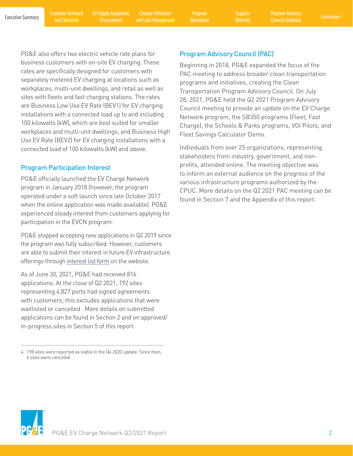and Education

EV Supply Equipment Procurement

Executive Summary [Customer Outreach](#page-4-0) EV Supply Equipment Charger Utilization Program Supplier Program Advisory<br>Executive Summary and Education Procurament and Load Management Operations Diversity Council Cordback Conclusion Charger Utilization and Load Management

Program

**Diversity** 

PG&E also offers two electric vehicle rate plans for business customers with on-site EV charging. These rates are specifically designed for customers with separately metered EV charging at locations such as workplaces, multi-unit dwellings, and retail as well as sites with fleets and fast charging stations. The rates are Business Low Use EV Rate (BEV1) for EV charging installations with a connected load up to and including 100 kilowatts (kW), which are best suited for smaller workplaces and multi-unit dwellings, and Business High Use EV Rate (BEV2) for EV charging installations with a connected load of 100 kilowatts (kW) and above.

# Program Participation Interest

 participation in the EVCN program. PG&E officially launched the EV Charge Network program in January 2018 (however, the program operated under a soft launch since late October 2017 when the online application was made available). PG&E experienced steady interest from customers applying for

PG&E stopped accepting new applications in Q2 2019 since the program was fully subscribed. However, customers are able to submit their interest in future EV infrastructure offerings through [interest list form on the website.](https://pages.em.pge.com/page.aspx?QS=38dfbe491fab00ea2b2972b9fdcd92725e0d1a151830c81769dc5107c2ea4485)

As of June 30, 2021, PG&E had received 816 applications. At the close of Q2 2021, 192 sites representing 4,827 ports had signed agreements with customers; this excludes applications that were waitlisted or cancelled . More details on submitted applications can be found in Section 2 and on approved/ in-progress sites in Section 5 of this report.

# Program Advisory Council (PAC)

Beginning in 2018, PG&E expanded the focus of the PAC meeting to address broader clean transportation programs and initiatives, creating the Clean Transportation Program Advisory Council. On July 28, 2021, PG&E held the Q2 2021 Program Advisory Council meeting to provide an update on the EV Charge Network program, the SB350 programs (Fleet, Fast Charge), the Schools & Parks programs, VGI Pilots, and Fleet Savings Calculator Demo.

Individuals from over 25 organizations, representing stakeholders from industry, government, and nonprofits, attended online. The meeting objective was to inform an external audience on the progress of the various infrastructure programs authorized by the CPUC. More details on the Q2 2021 PAC meeting can be found in Section 7 and the Appendix of this report.



<sup>4. 198</sup> sites were reported as viable in the Q4 2020 update. Since then, 6 sites were canceled.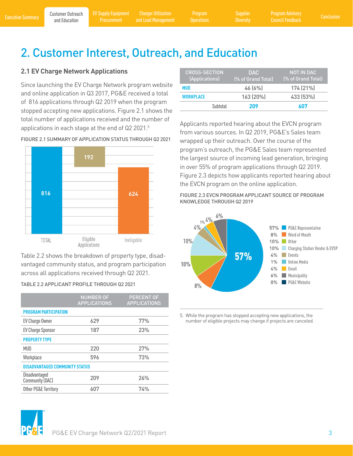Program

**Diversity** 

# <span id="page-4-0"></span>2. Customer Interest, Outreach, and Education

# **2.1 EV Charge Network Applications**

applications in each stage at the end of Q2 2021.<sup>5</sup> Since launching the EV Charge Network program website and online application in Q3 2017, PG&E received a total of 816 applications through Q2 2019 when the program stopped accepting new applications. Figure 2.1 shows the total number of applications received and the number of



FIGURE 2.1 SUMMARY OF APPLICATION STATUS THROUGH Q2 2021

Table 2.2 shows the breakdown of property type, disadvantaged community status, and program participation across all applications received through Q2 2021.

|  | TABLE 2.2 APPLICANT PROFILE THROUGH Q2 2021 |
|--|---------------------------------------------|
|--|---------------------------------------------|

|                                       | <b>NUMBER OF</b><br><b>APPLICATIONS</b> | <b>PERCENT OF</b><br><b>APPLICATIONS</b> |
|---------------------------------------|-----------------------------------------|------------------------------------------|
| <b>PROGRAM PARTICIPATION</b>          |                                         |                                          |
| EV Charge Owner                       | 629                                     | 77%                                      |
| <b>EV Charge Sponsor</b>              | 187                                     | 23%                                      |
| <b>PROPERTY TYPE</b>                  |                                         |                                          |
| <b>MUD</b>                            | 220                                     | 27%                                      |
| Workplace                             | 596                                     | 73%                                      |
| <b>DISADVANTAGED COMMUNITY STATUS</b> |                                         |                                          |
| Disadvantaged<br>Community (DAC)      | 209                                     | 26%                                      |
| Other PG&E Territory                  | 607                                     | 74%                                      |

| <b>CROSS-SECTION</b><br>(Applications) | DAC.<br>(% of Grand Total) | NOT IN DAC<br>(% of Grand Total) |
|----------------------------------------|----------------------------|----------------------------------|
| <b>MUD</b>                             | 46(6%)                     | 174 (21%)                        |
| WORKPLACE                              | 163 (20%)                  | 433 (53%)                        |
| Subtotal                               | 209                        | 607                              |

Applicants reported hearing about the EVCN program from various sources. In Q2 2019, PG&E's Sales team wrapped up their outreach. Over the course of the program's outreach, the PG&E Sales team represented the largest source of incoming lead generation, bringing in over 55% of program applications through Q2 2019. Figure 2.3 depicts how applicants reported hearing about the EVCN program on the online application.

FIGURE 2.3 EVCN PROGRAM APPLICANT SOURCE OF PROGRAM KNOWLEDGE THROUGH Q2 2019



5. While the program has stopped accepting new applications, the number of eligible projects may change if projects are canceled.

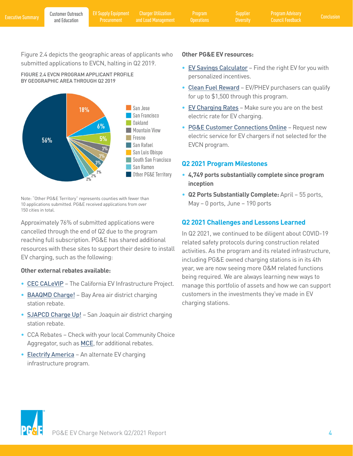Program

**Diversity** 

<span id="page-5-0"></span>Figure 2.4 depicts the geographic areas of applicants who submitted applications to EVCN, halting in Q2 2019.





Note: "Other PG&E Territory" represents counties with fewer than 10 applications submitted. PG&E received applications from over 150 cities in total.

Approximately 76% of submitted applications were cancelled through the end of Q2 due to the program reaching full subscription. PG&E has shared additional resources with these sites to support their desire to install EV charging, such as the following:

# **Other external rebates available:**

- [CEC CALeVIP](https://calevip.org/) The California EV Infrastructure Project.
- **[BAAQMD Charge!](http://www.baaqmd.gov/funding-and-incentives/businesses-and-fleets/charge)** Bay Area air district charging station rebate.
- **[SJAPCD Charge Up!](http://www.valleyair.org/grants/chargeup.htm)** San Joaquin air district charging station rebate.
- • CCA Rebates Check with your local Community Choice Aggregator, such as **[MCE](https://www.mcecleanenergy.org/ev-charging/#EVSErebates)**, for additional rebates.
- [Electrify America](https://www.electrifyamerica.com/submissions)  An alternate EV charging infrastructure program.

### **Other PG&E EV resources:**

- [EV Savings Calculator](https://ev.pge.com/) Find the right EV for you with personalized incentives.
- [Clean Fuel](https://cleanfuelreward.com/) Reward EV/PHEV purchasers can qualify for up to \$1,500 through this program.
- [EV Charging Rates](https://www.pge.com/en_US/residential/rate-plans/rate-plan-options/electric-vehicle-base-plan/electric-vehicle-base-plan.page) Make sure you are on the best electric rate for EV charging.
- [PG&E Customer Connections Online](https://www.pge.com/en_US/residential/customer-service/home-services/renovating-and-building/customer-connections-online/customer-connections-online.page) Request new electric service for EV chargers if not selected for the EVCN program.

# **Q2 2021 Program Milestones**

- **4,749 ports substantially complete since program inception**
- **Q2 Ports Substantially Complete:** April 55 ports, May – 0 ports, June – 190 ports

# **Q2 2021 Challenges and Lessons Learned**

In Q2 2021, we continued to be diligent about COVID-19 related safety protocols during construction related activities. As the program and its related infrastructure, including PG&E owned charging stations is in its 4th year, we are now seeing more O&M related functions being required. We are always learning new ways to manage this portfolio of assets and how we can support customers in the investments they've made in EV charging stations.

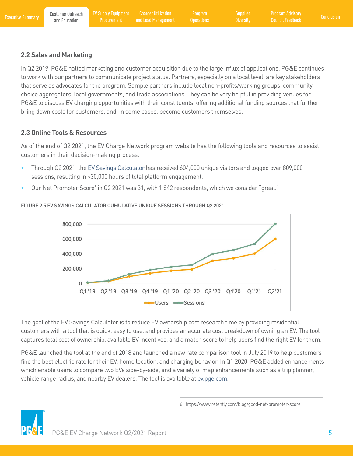# <span id="page-6-0"></span>**2.2 Sales and Marketing**

In Q2 2019, PG&E halted marketing and customer acquisition due to the large influx of applications. PG&E continues to work with our partners to communicate project status. Partners, especially on a local level, are key stakeholders that serve as advocates for the program. Sample partners include local non-profits/working groups, community choice aggregators, local governments, and trade associations. They can be very helpful in providing venues for PG&E to discuss EV charging opportunities with their constituents, offering additional funding sources that further bring down costs for customers, and, in some cases, become customers themselves.

# **2.3 Online Tools & Resources**

customers in their decision-making process. As of the end of Q2 2021, the EV Charge Network program website has the following tools and resources to assist

- Through Q2 2021, the [EV Savings Calculator](http://ev.pge.com/) has received 604,000 unique visitors and logged over 809,000 sessions, resulting in >30,000 hours of total platform engagement.
- Our Net Promoter Score<sup>6</sup> in Q2 2021 was 31, with 1,842 respondents, which we consider "great."



FIGURE 2.5 EV SAVINGS CALCULATOR CUMULATIVE UNIQUE SESSIONS THROUGH Q2 2021

The goal of the EV Savings Calculator is to reduce EV ownership cost research time by providing residential customers with a tool that is quick, easy to use, and provides an accurate cost breakdown of owning an EV. The tool captures total cost of ownership, available EV incentives, and a match score to help users find the right EV for them.

PG&E launched the tool at the end of 2018 and launched a new rate comparison tool in July 2019 to help customers find the best electric rate for their EV, home location, and charging behavior. In Q1 2020, PG&E added enhancements which enable users to compare two EVs side-by-side, and a variety of map enhancements such as a trip planner, vehicle range radius, and nearby EV dealers. The tool is available at [ev.pge.com.](http://ev.pge.com)



<sup>6.</sup> <https://www.retently.com/blog/good-net-promoter-score>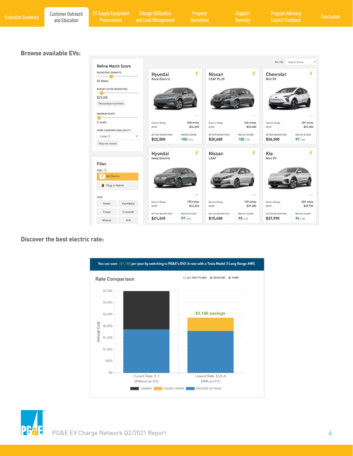| <b>Executive Summary</b> | <b>Customer Outreach</b><br>and Education | <b>EV Supply Equipment</b><br>Procurement                            | <b>Charger Utilization</b><br>and Load Management | Program<br><b>Operations</b> |                                   | Supplier<br><b>Diversity</b> | <b>Program Advisory</b><br><b>Council Feedback</b> |                       | <b>Conclusion</b> |
|--------------------------|-------------------------------------------|----------------------------------------------------------------------|---------------------------------------------------|------------------------------|-----------------------------------|------------------------------|----------------------------------------------------|-----------------------|-------------------|
|                          | <b>Browse available EVs:</b>              |                                                                      |                                                   |                              |                                   |                              |                                                    |                       |                   |
|                          |                                           |                                                                      |                                                   |                              |                                   |                              | Sort By                                            | Match Score           |                   |
|                          |                                           | <b>Refine Match Score</b><br>ROUNDTRIP COMMUTE<br>50 Miles           | Hyundai<br>Kona Electric                          | y                            | <b>Nissan</b><br><b>LEAF PLUS</b> | y                            | Chevrolet<br><b>Bolt EV</b>                        |                       |                   |
|                          |                                           | <b>BUDGET AFTER INCENTIVES</b><br>\$25,000<br>Personalize Incentives |                                                   |                              |                                   |                              |                                                    |                       |                   |
|                          |                                           | <b>MINIMUM SEATS</b>                                                 |                                                   | <b>HANK</b>                  |                                   | <b>Grimming</b>              |                                                    | <b>SEARCH</b>         |                   |
|                          |                                           | 2 seats<br>HOME CHARGING AVAILABILITY                                | Electric Range<br>MSRP                            | 258 miles<br>\$34,000        | Electric Range<br>MSRP            | 226 miles<br>\$32,400        | Electric Range<br>MSRP                             | 259 miles<br>\$31,000 |                   |
|                          |                                           | Level 2<br>Help me choose                                            | AFTER INCENTIVES<br>$\check{~}$<br>\$22,000       | MATCH SCORE<br>100/100       | AFTER INCENTIVES<br>\$20,400      | MATCH SCORE<br>100/100       | AFTER INCENTIVES<br>\$26,500                       | MATCH SCORE<br>97/100 |                   |
|                          |                                           |                                                                      | Hyundai<br><b>Ioniq Electric</b>                  | ¥                            | Nissan<br>LEAF                    | ¥                            | Kia<br>Niro EV                                     | ¥                     |                   |
|                          |                                           | Filter<br>FUEL(?)                                                    |                                                   |                              |                                   |                              |                                                    |                       |                   |
|                          |                                           | All-Electric<br>Plug-in Hybrid                                       |                                                   |                              |                                   |                              |                                                    |                       |                   |
|                          |                                           | TYPE                                                                 |                                                   |                              |                                   | search                       |                                                    |                       |                   |
|                          |                                           | Sedan<br>Hatchback                                                   | Electric Range<br>MSRP                            | 170 miles<br>\$33,245        | Electric Range<br>MSRP            | 149 miles<br>\$27,400        | Electric Range<br>MSRP                             | 239 miles<br>\$39,990 |                   |

AFTER INCENTIVES

\$21,245

AFTER INCENTIVES

\$15,400

MATCH SCORE

97/100

AFTER INCENTIVES

\$27,990

MATCH SCORE

 $94/100$ 

MATCH SCORE

95/100

#### **Discover the best electric rate:**





Coupe

Minivan

Crossover

 $\textsf{SUV}$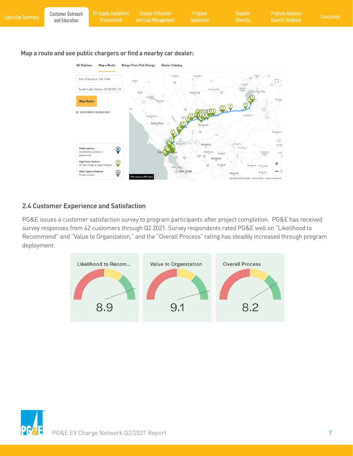<span id="page-8-0"></span>

| Map a route and see public chargers or find a nearby car dealer:<br><b>Range From Full Charge</b><br><b>All Stations</b><br><b>Map a Route</b><br><b>Dealer Catalog</b><br>Willows<br>Oroville<br>San Francisco, CA, USA<br>FЭ.<br>Willit<br>$L - 1$<br>Truckee<br>Olympic<br>South Lake Tahoe, CA 96150, US<br>Grass Valle<br>Valley<br>Carson City<br>Yuba City<br>Lakeport<br>Yeringti<br><b>Map Route</b><br><b>TO 00</b><br>HIGH POWER STATIONS ONLY<br>Kirkwood<br>Healdsburg<br>Santa Rosa<br>Elk Grove<br>Bridgeport |  |
|------------------------------------------------------------------------------------------------------------------------------------------------------------------------------------------------------------------------------------------------------------------------------------------------------------------------------------------------------------------------------------------------------------------------------------------------------------------------------------------------------------------------------|--|

### **2.4 Customer Experience and Satisfaction**

**Public stations**<br>Installed by business or

**High Power Stations** 

Other Types of Stations

DC fast charge or supercharg

 $\bigcirc$ 

 $\overline{Q}$ 

 $\odot$ 

PG&E issues a customer satisfaction survey to program participants after project completion. PG&E has received survey responses from 42 customers through Q2 2021. Survey respondents rated PG&E well on "Likelihood to Recommend" and "Value to Organization," and the "Overall Process" rating has steadily increased through program deployment.

San Jose

Modesto

Turlock

Merced





(395)<br>Lee Vir

٠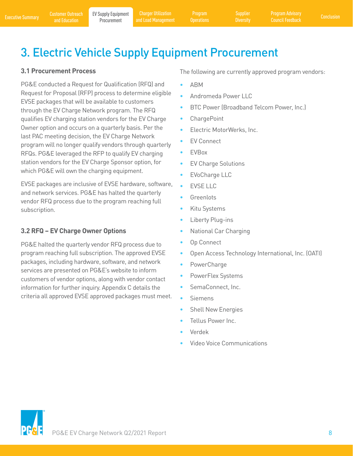Program

# <span id="page-9-0"></span>3. Electric Vehicle Supply Equipment Procurement

# **3.1 Procurement Process**

PG&E conducted a Request for Qualification (RFQ) and Request for Proposal (RFP) process to determine eligible EVSE packages that will be available to customers through the EV Charge Network program. The RFQ qualifies EV charging station vendors for the EV Charge Owner option and occurs on a quarterly basis. Per the last PAC meeting decision, the EV Charge Network program will no longer qualify vendors through quarterly RFQs. PG&E leveraged the RFP to qualify EV charging station vendors for the EV Charge Sponsor option, for which PG&E will own the charging equipment.

EVSE packages are inclusive of EVSE hardware, software, and network services. PG&E has halted the quarterly vendor RFQ process due to the program reaching full subscription.

# **3.2 RFQ – EV Charge Owner Options**

PG&E halted the quarterly vendor RFQ process due to program reaching full subscription. The approved EVSE packages, including hardware, software, and network services are presented on PG&E's website to inform customers of vendor options, along with vendor contact information for further inquiry. Appendix C details the criteria all approved EVSE approved packages must meet. The following are currently approved program vendors:

- ABM
- Andromeda Power LLC
- BTC Power (Broadband Telcom Power, Inc.)
- ChargePoint
- Electric MotorWerks, Inc.
- EV Connect
- EVBox
- EV Charge Solutions
- EVoCharge LLC
- **EVSE LLC**
- **Greenlots**
- Kitu Systems
- Liberty Plug-ins
- National Car Charging
- Op Connect
- Open Access Technology International, Inc. (OATI)
- PowerCharge
- PowerFlex Systems
- SemaConnect, Inc.
- Siemens
- Shell New Energies
- Tellus Power Inc.
- Verdek
- Video Voice Communications

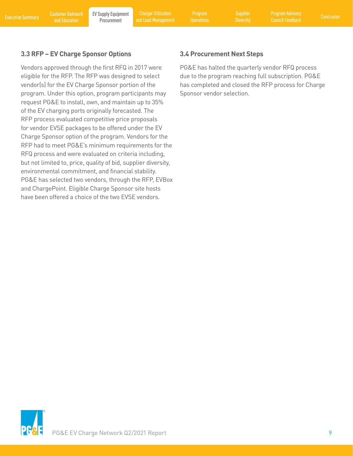<span id="page-10-0"></span>Executive Summary Customer Outreach EV Supply Equipment Charger Utilization Program Supplier Program Advisory<br>Executive Summary [and Education](#page-4-0) Procurement and Load Management Operations Diversity Council Feedback Conclusion Charger Utilization and Load Management

Program

### **3.3 RFP – EV Charge Sponsor Options**

Vendors approved through the first RFQ in 2017 were eligible for the RFP. The RFP was designed to select vendor(s) for the EV Charge Sponsor portion of the program. Under this option, program participants may request PG&E to install, own, and maintain up to 35% of the EV charging ports originally forecasted. The RFP process evaluated competitive price proposals for vendor EVSE packages to be offered under the EV Charge Sponsor option of the program. Vendors for the RFP had to meet PG&E's minimum requirements for the RFQ process and were evaluated on criteria including, but not limited to, price, quality of bid, supplier diversity, environmental commitment, and financial stability. PG&E has selected two vendors, through the RFP, EVBox and ChargePoint. Eligible Charge Sponsor site hosts have been offered a choice of the two EVSE vendors.

# **3.4 Procurement Next Steps**

PG&E has halted the quarterly vendor RFQ process due to the program reaching full subscription. PG&E has completed and closed the RFP process for Charge Sponsor vendor selection.

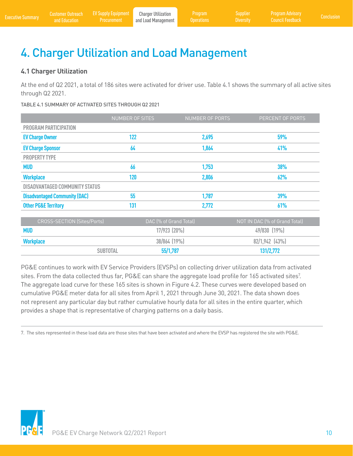# <span id="page-11-0"></span>4. Charger Utilization and Load Management

# **4.1 Charger Utilization**

At the end of Q2 2021, a total of 186 sites were activated for driver use. Table 4.1 shows the summary of all active sites through Q2 2021.

### TABLE 4.1 SUMMARY OF ACTIVATED SITES THROUGH Q2 2021

|                                       | NUMBER OF SITES | NUMBER OF PORTS | PERCENT OF PORTS |
|---------------------------------------|-----------------|-----------------|------------------|
| <b>PROGRAM PARTICIPATION</b>          |                 |                 |                  |
| <b>EV Charge Owner</b>                | 122             | 2,695           | 59%              |
| <b>EV Charge Sponsor</b>              | 64              | 1,864           | 41%              |
| <b>PROPERTY TYPE</b>                  |                 |                 |                  |
| <b>MUD</b>                            | 66              | 1,753           | 38%              |
| <b>Workplace</b>                      | 120             | 2,806           | 62%              |
| <b>DISADVANTAGED COMMUNITY STATUS</b> |                 |                 |                  |
| <b>Disadvantaged Community (DAC)</b>  | 55              | 1,787           | 39%              |
| <b>Other PG&amp;E Territory</b>       | 131             | 2,772           | 61%              |

| <b>CROSS-SECTION (Sites/Ports)</b> | DAC (% of Grand Total) | NOT IN DAC (% of Grand Total) |
|------------------------------------|------------------------|-------------------------------|
| <b>MUD</b>                         | $17/923$ $(20\%)$      | $49/830$ $(19\%)$             |
| <b>Workplace</b>                   | 38/864 (19%)           | $82/1,942$ (43%)              |
| <b>SUBTOTAL</b>                    | 55/1,787               | 131/2,772                     |

PG&E continues to work with EV Service Providers (EVSPs) on collecting driver utilization data from activated sites. From the data collected thus far, PG&E can share the aggregate load profile for 165 activated sites?. The aggregate load curve for these 165 sites is shown in Figure 4.2. These curves were developed based on cumulative PG&E meter data for all sites from April 1, 2021 through June 30, 2021. The data shown does not represent any particular day but rather cumulative hourly data for all sites in the entire quarter, which provides a shape that is representative of charging patterns on a daily basis.

7. The sites represented in these load data are those sites that have been activated and where the EVSP has registered the site with PG&E.

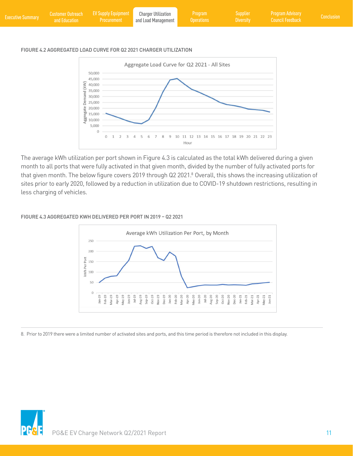| <b>Executive Summary</b> | and Education | Customer Outreach EV Supply Equipment Charger Utilization<br>Procurement | and Load Management | <b>Program</b><br>Operations | Supplier<br><b>Diversity</b> | <b>Program Advisory</b><br><b>Council Feedback</b> | <b>Conclusion</b> |
|--------------------------|---------------|--------------------------------------------------------------------------|---------------------|------------------------------|------------------------------|----------------------------------------------------|-------------------|
|                          |               |                                                                          |                     |                              |                              |                                                    |                   |

#### FIGURE 4.2 AGGREGATED LOAD CURVE FOR Q2 2021 CHARGER UTILIZATION



The average kWh utilization per port shown in Figure 4.3 is calculated as the total kWh delivered during a given month to all ports that were fully activated in that given month, divided by the number of fully activated ports for that given month. The below figure covers 2019 through Q2 2021.<sup>8</sup> Overall, this shows the increasing utilization of sites prior to early 2020, followed by a reduction in utilization due to COVID-19 shutdown restrictions, resulting in less charging of vehicles.

#### FIGURE 4.3 AGGREGATED KWH DELIVERED PER PORT IN 2019 – Q2 2021



8. Prior to 2019 there were a limited number of activated sites and ports, and this time period is therefore not included in this display.

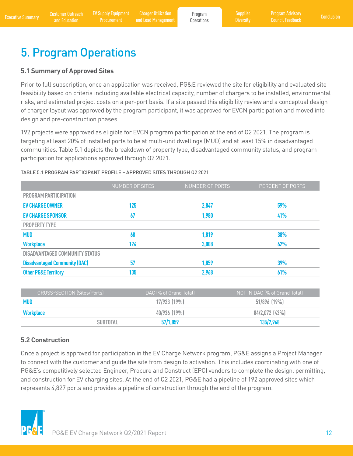# <span id="page-13-0"></span>5. Program Operations

### **5.1 Summary of Approved Sites**

Prior to full subscription, once an application was received, PG&E reviewed the site for eligibility and evaluated site feasibility based on criteria including available electrical capacity, number of chargers to be installed, environmental risks, and estimated project costs on a per-port basis. If a site passed this eligibility review and a conceptual design of charger layout was approved by the program participant, it was approved for EVCN participation and moved into design and pre-construction phases.

192 projects were approved as eligible for EVCN program participation at the end of Q2 2021. The program is targeting at least 20% of installed ports to be at multi-unit dwellings (MUD) and at least 15% in disadvantaged communities. Table 5.1 depicts the breakdown of property type, disadvantaged community status, and program participation for applications approved through Q2 2021.

### TABLE 5.1 PROGRAM PARTICIPANT PROFILE – APPROVED SITES THROUGH Q2 2021

|                                      | <b>NUMBER OF SITES</b> | <b>NUMBER OF PORTS</b> | PERCENT OF PORTS |
|--------------------------------------|------------------------|------------------------|------------------|
| <b>PROGRAM PARTICIPATION</b>         |                        |                        |                  |
| <b>EV CHARGE OWNER</b>               | 125                    | 2,847                  | 59%              |
| <b>EV CHARGE SPONSOR</b>             | 67                     | 1,980                  | 41%              |
| <b>PROPERTY TYPE</b>                 |                        |                        |                  |
| <b>MUD</b>                           | 68                     | 1,819                  | 38%              |
| <b>Workplace</b>                     | 124                    | 3,008                  | 62%              |
| DISADVANTAGED COMMUNITY STATUS       |                        |                        |                  |
| <b>Disadvantaged Community (DAC)</b> | 57                     | 1,859                  | 39%              |
| <b>Other PG&amp;E Territory</b>      | 135                    | 2,968                  | 61%              |

| <b>CROSS-SECTION (Sites/Ports)</b> | I DAC (% of Grand Total) | NOT IN DAC (% of Grand Total) |
|------------------------------------|--------------------------|-------------------------------|
| <b>MUD</b>                         | $17/923$ $(19\%)$        | $51/896$ (19%)                |
| Workplace                          | $40/936$ (19%)           | $84/2,072$ (43%)              |
| <b>SUBTOTAL</b>                    | 57/1,859                 | 135/2,968                     |

### **5.2 Construction**

Once a project is approved for participation in the EV Charge Network program, PG&E assigns a Project Manager to connect with the customer and guide the site from design to activation. This includes coordinating with one of PG&E's competitively selected Engineer, Procure and Construct (EPC) vendors to complete the design, permitting, and construction for EV charging sites. At the end of Q2 2021, PG&E had a pipeline of 192 approved sites which represents 4,827 ports and provides a pipeline of construction through the end of the program.

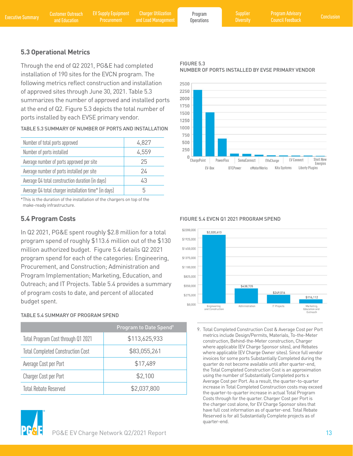<span id="page-14-0"></span>Executive Summary Customer Outreach EV Supply Equipment Charger Utilization Program Program Supplier Program Advisory<br>Executive Summary [and Education](#page-4-0) Procurement and Load Management Operations Diversity Council Feedback Co Charger Utilization and Load Management

Program **Operations**  **Diversity** 

# **5.3 Operational Metrics**

installation of 190 sites for the EVCN program. The following metrics reflect construction and installation of approved sites through June 30, 2021. Table 5.3 summarizes the number of approved and installed ports at the end of Q2. Figure 5.3 depicts the total number of ports installed by each EVSE primary vendor.

TABLE 5.3 SUMMARY OF NUMBER OF PORTS AND INSTALLATION

| Number of total ports approved                        | 4,827 |
|-------------------------------------------------------|-------|
| Number of ports installed                             | 4,559 |
| Average number of ports approved per site             | 25    |
| Average number of ports installed per site            | 24    |
| Average Q4 total construction duration (in days)      | 43    |
| Average Q4 total charger installation time* (in days) | h     |

\*This is the duration of the installation of the chargers on top of the make-ready infrastructure.

In Q2 2021, PG&E spent roughly \$2.8 million for a total program spend of roughly \$113.6 million out of the \$130 million authorized budget. Figure 5.4 details Q2 2021 program spend for each of the categories: Engineering, Procurement, and Construction; Administration and Program Implementation; Marketing, Education, and Outreach; and IT Projects. Table 5.4 provides a summary of program costs to date, and percent of allocated budget spent.

### TABLE 5.4 SUMMARY OF PROGRAM SPEND

|                                          | Program to Date Spend <sup>9</sup> |
|------------------------------------------|------------------------------------|
| Total Program Cost through Q1 2021       | \$113,625,933                      |
| <b>Total Completed Construction Cost</b> | \$83,055,261                       |
| Average Cost per Port                    | \$17,489                           |
| Charger Cost per Port                    | \$2,100                            |
| <b>Total Rebate Reserved</b>             | \$2,037,800                        |





**5.4 Program Costs** FIGURE 5.4 EVCN Q1 2021 PROGRAM SPEND



9. Total Completed Construction Cost & Average Cost per Port metrics include Design/Permits, Materials, To-the-Meter construction, Behind-the-Meter construction, Charger where applicable (EV Charge Sponsor sites), and Rebates where applicable (EV Charge Owner sites). Since full vendor invoices for some ports Substantially Completed during the quarter do not become available until after quarter-end, the Total Completed Construction Cost is an approximation using the number of Substantially Completed ports x Average Cost per Port. As a result, the quarter-to-quarter increase in Total Completed Construction costs may exceed the quarter-to-quarter increase in actual Total Program Costs through for the quarter. Charger Cost per Port is the charger cost alone, for EV Charge Sponsor sites that have full cost information as of quarter-end. Total Rebate Reserved is for all Substantially Complete projects as of quarter-end.

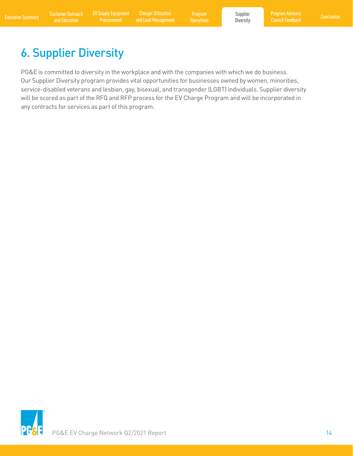<span id="page-15-0"></span>Executive Summary Customer Outreach EV Supply Equipment Charger Utilization Program Busines Supplier Program Advisory<br>Executive Summary [and Education](#page-4-0) Procurement and Load Management Operations Diversity Council Feedback Co Charger Utilization and Load Management

Program

Supplier **Diversity** 

# 6. Supplier Diversity

PG&E is committed to diversity in the workplace and with the companies with which we do business. Our Supplier Diversity program provides vital opportunities for businesses owned by women, minorities, service-disabled veterans and lesbian, gay, bisexual, and transgender (LGBT) individuals. Supplier diversity will be scored as part of the RFQ and RFP process for the EV Charge Program and will be incorporated in any contracts for services as part of this program.

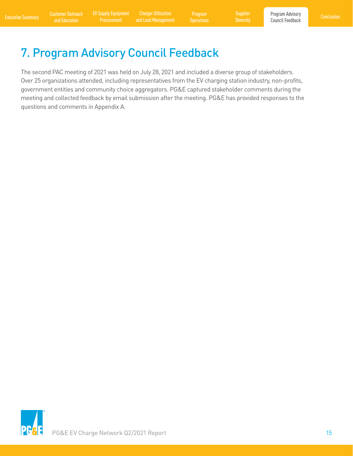Charger Utilization and Load Management

Program **Operations** 

# <span id="page-16-0"></span>7. Program Advisory Council Feedback

The second PAC meeting of 2021 was held on July 28, 2021 and included a diverse group of stakeholders. Over 25 organizations attended, including representatives from the EV charging station industry, non-profits, government entities and community choice aggregators. PG&E captured stakeholder comments during the meeting and collected feedback by email submission after the meeting. PG&E has provided responses to the questions and comments in Appendix A.

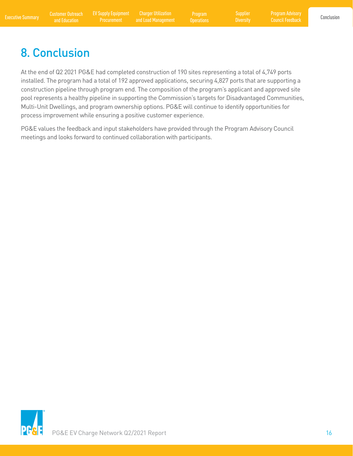Program Advisory Council Feedback

# <span id="page-17-0"></span>8. Conclusion

At the end of Q2 2021 PG&E had completed construction of 190 sites representing a total of 4,749 ports installed. The program had a total of 192 approved applications, securing 4,827 ports that are supporting a construction pipeline through program end. The composition of the program's applicant and approved site pool represents a healthy pipeline in supporting the Commission's targets for Disadvantaged Communities, Multi-Unit Dwellings, and program ownership options. PG&E will continue to identify opportunities for process improvement while ensuring a positive customer experience.

PG&E values the feedback and input stakeholders have provided through the Program Advisory Council meetings and looks forward to continued collaboration with participants.

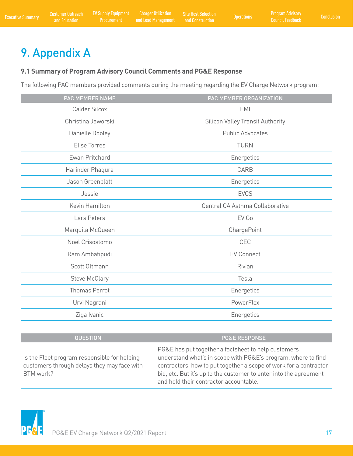# <span id="page-18-0"></span>9. Appendix A

### **9.1 Summary of Program Advisory Council Comments and PG&E Response**

The following PAC members provided comments during the meeting regarding the EV Charge Network program:

| PAC MEMBER NAME      | PAC MEMBER ORGANIZATION                 |
|----------------------|-----------------------------------------|
| <b>Calder Silcox</b> | <b>EMI</b>                              |
| Christina Jaworski   | <b>Silicon Valley Transit Authority</b> |
| Danielle Dooley      | <b>Public Advocates</b>                 |
| <b>Elise Torres</b>  | <b>TURN</b>                             |
| Ewan Pritchard       | Energetics                              |
| Harinder Phagura     | CARB                                    |
| Jason Greenblatt     | Energetics                              |
| Jessie               | <b>EVCS</b>                             |
| Kevin Hamilton       | Central CA Asthma Collaborative         |
| Lars Peters          | EV Go                                   |
| Marquita McQueen     | ChargePoint                             |
| Noel Crisostomo      | CEC                                     |
| Ram Ambatipudi       | <b>EV Connect</b>                       |
| Scott Oltmann        | Rivian                                  |
| <b>Steve McClary</b> | Tesla                                   |
| <b>Thomas Perrot</b> | Energetics                              |
| Urvi Nagrani         | PowerFlex                               |
| Ziga Ivanic          | Energetics                              |
|                      |                                         |

### QUESTION PG&E RESPONSE

PG&E has put together a factsheet to help customers Is the Fleet program responsible for helping understand what's in scope with PG&E's program, where to find customers through delays they may face with contractors, how to put together a scope of work for a contractor BTM work? bid, etc. But it's up to the customer to enter into the agreement and hold their contractor accountable.

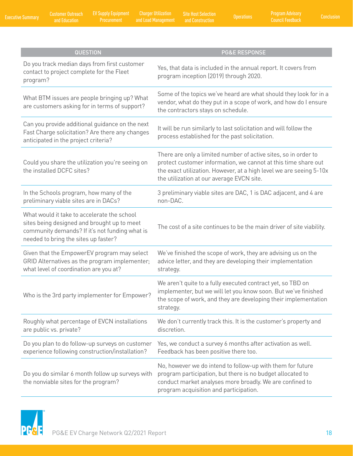Customer Outreach

[and Education](#page-4-0) [Executive Summary](#page-2-0) [Conclusion](#page-17-0) [EV Supply Equipment](#page-9-0)  Charger Utilization and Load Management Operations Site Host Selection

| <b>QUESTION</b>                                                                                                                                                                      | <b>PG&amp;E RESPONSE</b>                                                                                                                                                                                                                              |
|--------------------------------------------------------------------------------------------------------------------------------------------------------------------------------------|-------------------------------------------------------------------------------------------------------------------------------------------------------------------------------------------------------------------------------------------------------|
| Do you track median days from first customer<br>contact to project complete for the Fleet<br>program?                                                                                | Yes, that data is included in the annual report. It covers from<br>program inception (2019) through 2020.                                                                                                                                             |
| What BTM issues are people bringing up? What<br>are customers asking for in terms of support?                                                                                        | Some of the topics we've heard are what should they look for in a<br>vendor, what do they put in a scope of work, and how do I ensure<br>the contractors stays on schedule.                                                                           |
| Can you provide additional guidance on the next<br>Fast Charge solicitation? Are there any changes<br>anticipated in the project criteria?                                           | It will be run similarly to last solicitation and will follow the<br>process established for the past solicitation.                                                                                                                                   |
| Could you share the utilization you're seeing on<br>the installed DCFC sites?                                                                                                        | There are only a limited number of active sites, so in order to<br>protect customer information, we cannot at this time share out<br>the exact utilization. However, at a high level we are seeing 5-10x<br>the utilization at our average EVCN site. |
| In the Schools program, how many of the<br>preliminary viable sites are in DACs?                                                                                                     | 3 preliminary viable sites are DAC, 1 is DAC adjacent, and 4 are<br>non-DAC.                                                                                                                                                                          |
| What would it take to accelerate the school<br>sites being designed and brought up to meet<br>community demands? If it's not funding what is<br>needed to bring the sites up faster? | The cost of a site continues to be the main driver of site viability.                                                                                                                                                                                 |
| Given that the EmpowerEV program may select<br>GRID Alternatives as the program implementer;<br>what level of coordination are you at?                                               | We've finished the scope of work, they are advising us on the<br>advice letter, and they are developing their implementation<br>strategy.                                                                                                             |
| Who is the 3rd party implementer for Empower?                                                                                                                                        | We aren't quite to a fully executed contract yet, so TBD on<br>implementer, but we will let you know soon. But we've finished<br>the scope of work, and they are developing their implementation<br>strategy.                                         |
| Roughly what percentage of EVCN installations<br>are public vs. private?                                                                                                             | We don't currently track this. It is the customer's property and<br>discretion.                                                                                                                                                                       |
| Do you plan to do follow-up surveys on customer<br>experience following construction/installation?                                                                                   | Yes, we conduct a survey 6 months after activation as well.<br>Feedback has been positive there too.                                                                                                                                                  |
| Do you do similar 6 month follow up surveys with<br>the nonviable sites for the program?                                                                                             | No, however we do intend to follow-up with them for future<br>program participation, but there is no budget allocated to<br>conduct market analyses more broadly. We are confined to<br>program acquisition and participation.                        |

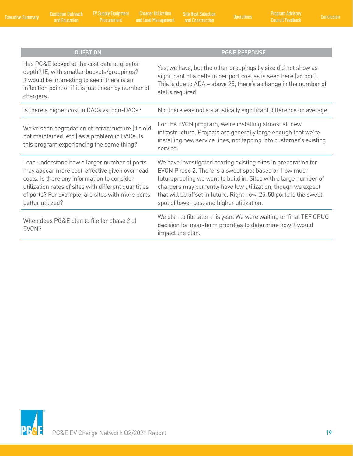Customer Outreach

EV Supply Equipment<br>Procurement

[and Education](#page-4-0) [Executive Summary](#page-2-0) [Conclusion](#page-17-0) [EV Supply Equipment](#page-9-0)  Charger Utilization and Load Management Operations Site Host Selection

| <b>QUESTION</b>                                                                                                                                                                                                                                                               | <b>PG&amp;E RESPONSE</b>                                                                                                                                                                                                                                                                                                                                                         |
|-------------------------------------------------------------------------------------------------------------------------------------------------------------------------------------------------------------------------------------------------------------------------------|----------------------------------------------------------------------------------------------------------------------------------------------------------------------------------------------------------------------------------------------------------------------------------------------------------------------------------------------------------------------------------|
| Has PG&E looked at the cost data at greater<br>depth? IE, with smaller buckets/groupings?<br>It would be interesting to see if there is an<br>inflection point or if it is just linear by number of<br>chargers.                                                              | Yes, we have, but the other groupings by size did not show as<br>significant of a delta in per port cost as is seen here (26 port).<br>This is due to ADA - above 25, there's a change in the number of<br>stalls required.                                                                                                                                                      |
| Is there a higher cost in DACs vs. non-DACs?                                                                                                                                                                                                                                  | No, there was not a statistically significant difference on average.                                                                                                                                                                                                                                                                                                             |
| We've seen degradation of infrastructure (it's old,<br>not maintained, etc.) as a problem in DACs. Is<br>this program experiencing the same thing?                                                                                                                            | For the EVCN program, we're installing almost all new<br>infrastructure. Projects are generally large enough that we're<br>installing new service lines, not tapping into customer's existing<br>service.                                                                                                                                                                        |
| I can understand how a larger number of ports<br>may appear more cost-effective given overhead<br>costs. Is there any information to consider<br>utilization rates of sites with different quantities<br>of ports? For example, are sites with more ports<br>better utilized? | We have investigated scoring existing sites in preparation for<br>EVCN Phase 2. There is a sweet spot based on how much<br>futureproofing we want to build in. Sites with a large number of<br>chargers may currently have low utilization, though we expect<br>that will be offset in future. Right now, 25-50 ports is the sweet<br>spot of lower cost and higher utilization. |
| When does PG&E plan to file for phase 2 of<br>EVCN?                                                                                                                                                                                                                           | We plan to file later this year. We were waiting on final TEF CPUC<br>decision for near-term priorities to determine how it would<br>impact the plan.                                                                                                                                                                                                                            |

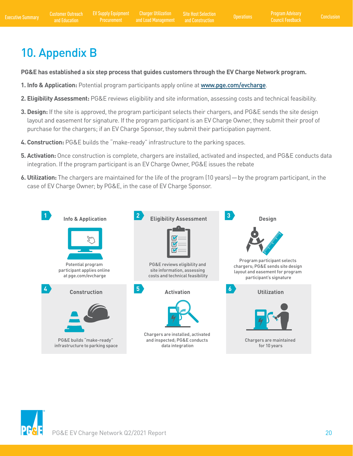# <span id="page-21-0"></span>10. Appendix B

**PG&E has established a six step process that guides customers through the EV Charge Network program.** 

- **1. Info & Application:** Potential program participants apply online at [www.pge.com/evcharge](http://www.pge.com/evcharge).
- **2. Eligibility Assessment:** PG&E reviews eligibility and site information, assessing costs and technical feasibility.
- **3. Design:** If the site is approved, the program participant selects their chargers, and PG&E sends the site design layout and easement for signature. If the program participant is an EV Charge Owner, they submit their proof of purchase for the chargers; if an EV Charge Sponsor, they submit their participation payment.
- **4. Construction:** PG&E builds the "make-ready" infrastructure to the parking spaces.
- **5. Activation:** Once construction is complete, chargers are installed, activated and inspected, and PG&E conducts data integration. If the program participant is an EV Charge Owner, PG&E issues the rebate
- **6. Utilization:** The chargers are maintained for the life of the program (10 years)—by the program participant, in the case of EV Charge Owner; by PG&E, in the case of EV Charge Sponsor.